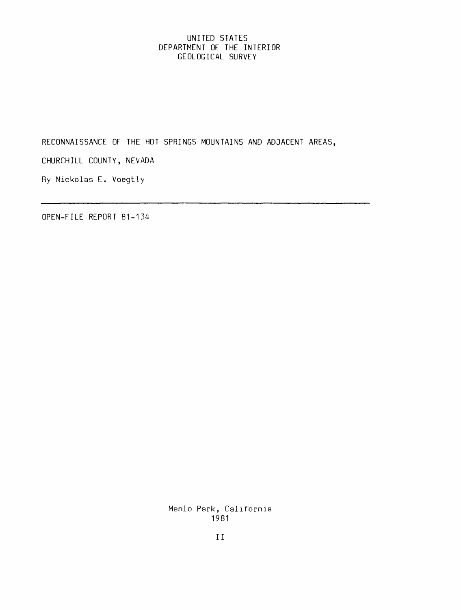# UNITED STATES DEPARTMENT OF THE INTERIOR GEOLOGICAL SURVEY

RECONNAISSANCE OF THE HOT SPRINGS MOUNTAINS AND ADJACENT AREAS,

CHURCHILL COUNTY, NEVADA

By Nickolas E. Voegtly

OPEN-FILE REPORT 81-134

Menlo Park, California 1981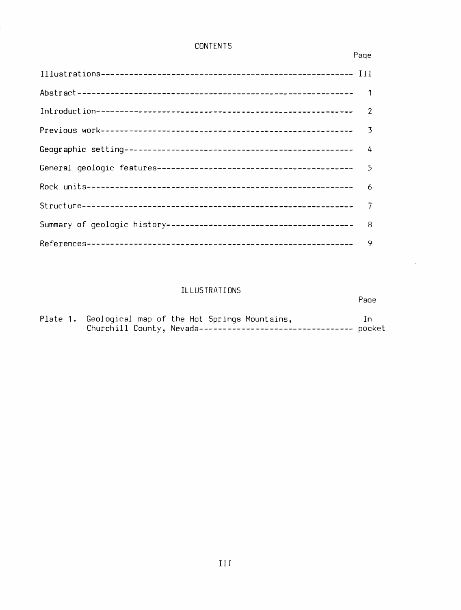# CONTENTS

 $\hat{\mathcal{A}}$ 

# Paqe

Paqe

 $\ddot{\phantom{a}}$ 

| 9 |
|---|

# ILLUSTRATIONS

# Plate **1.** Geological map of the Hot Springs Mountains, In Churchill County, **Nevada---------------------------------** pocket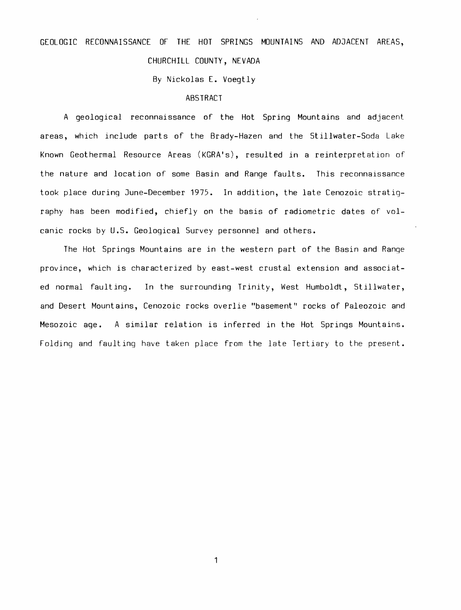# GEOLOGIC RECONNAISSANCE OF THE HOT SPRINGS MOUNTAINS AND ADJACENT AREAS, CHURCHILL COUNTY, NEVADA

By Nickolas E. Voegtly

## **ABSTRACT**

A geological reconnaissance of the Hot Spring Mountains and adjacent areas, which include parts of the Brady-Hazen and the Stillwater-Soda Lake Known Geothermal Resource Areas (KGRA's), resulted in a reinterpretation of the nature and location of some Basin and Range faults. This reconnaissance took place during June-December 1975. In addition, the late Cenozoic stratigraphy has been modified, chiefly on the basis of radiometric dates of volcanic rocks by U.S. Geological Survey personnel and others.

The Hot Springs Mountains are in the western part of the Basin and Range province, which is characterized by east-west crustal extension and associated normal faulting. In the surrounding Trinity, West Humboldt, Stillwater, and Desert Mountains, Cenozoic rocks overlie "basement" rocks of Paleozoic and Mesozoic age. A similar relation is inferred in the Hot Springs Mountains. Folding and faulting have taken place from the late Tertiary to the present.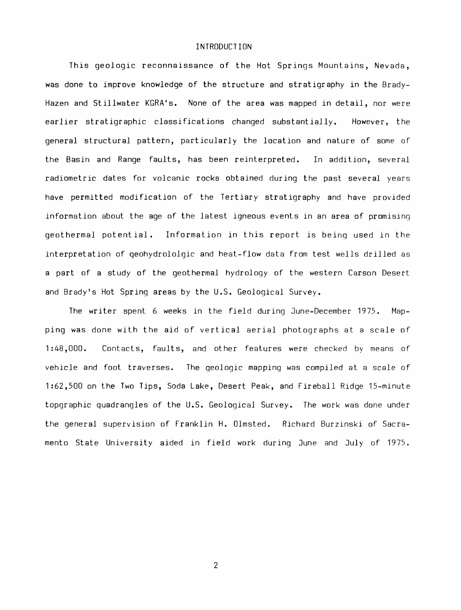#### INTRODUCTION

This geologic reconnaissance of the Hot Springs Mountains, Nevada, was done to improve knowledge of the structure and stratigraphy in the Brady-Hazen and Stillwater KGRA's. None of the area was mapped in detail, nor were earlier stratigraphic classifications changed substantially. However, the general structural pattern, particularly the location and nature of some of the Basin and Range faults, has been reinterpreted. In addition, several radiometric dates for volcanic rocks obtained during the past several years have permitted modification of the Tertiary stratigraphy and have provided information about the age of the latest igneous events in an area of promising geothermal potential. Information in this report is being used in the interpretation of qeohydrololgic and heat-flow data from test wells drilled as a part of a study of the geothermal hydrology of the western Carson Desert and Brady's Hot Spring areas by the U.S. Geological Survey.

The writer spent 6 weeks in the field during June-December 1975. Mapping was done with the aid of vertical aerial photographs at a scale of 1 :48,000. Contacts, faults, and other features were checked by means of vehicle and foot traverses. The geologic mapping was compiled at a scale of 1:62,500 on the Two Tips, Soda Lake, Desert Peak, and Fireball Ridge 15-minute topgraphic quadrangles of the U.S. Geological Survey. The work was done under the general supervision of Franklin H. Olmsted. Richard Burzinski of Sacramento State University aided in field work during June and July of 1975.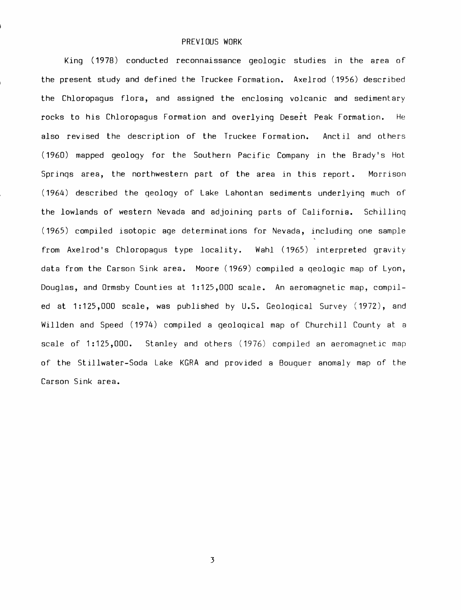#### PREVIOUS WORK

King (1978) conducted reconnaissance geologic studies in the area of the present study and defined the Truckee Formation. Axelrod (1956) described the Chloropagus flora, and assigned the enclosing volcanic and sedimentary rocks to his Chloropagus Formation and overlying Desert Peak Formation. He also revised the description of the Truckee Formation. Anctil and others (1960) mapped geology for the Southern Pacific Company in the Brady's Hot Springs area, the northwestern part of the area in this report. Morrison (1964) described the geology of Lake Lahontan sediments underlying much of the lowlands of western Nevada and adjoining parts of California. Schilling (1965) compiled isotopic age determinat ions for Nevada, including one sample from Axelrod's Chloropagus type locality. Wahl (1965) interpreted gravity data from the Carson Sink area. Moore (1969) compiled a qeologic map of Lyon, Douglas, and Ormsby Counties at 1:125,000 scale. An aeromagnetic map, compiled at 1:125,000 scale, was published by U.S. Geological Survey (1972), and Willden and Speed (1974) compiled a geological map of Churchill County at a scale of 1:125,000. Stanley and others (1976) compiled an aeromagnetic map of the Stillwater-Soda Lake KGRA and provided a Bouguer anomaly map of the Carson Sink area.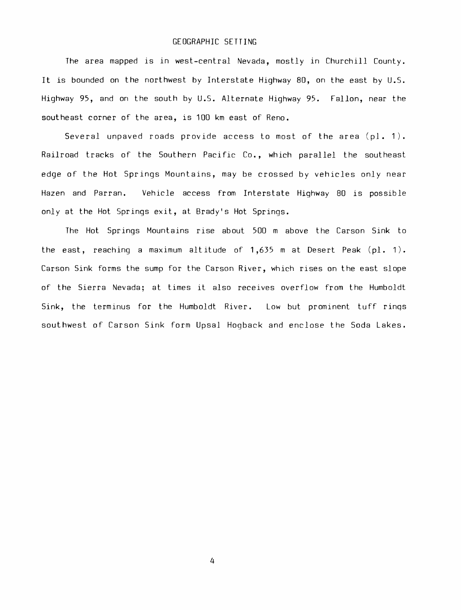## GEOGRAPHIC SETTING

The area mapped is in west-central Nevada, mostly in Churchill County. It is bounded on the northwest by Interstate Highway 80, on the east by U.S. Highway 95, and on the south by U.S. Alternate Highway 95. Fallon, near the southeast corner of the area, is 100 km east of Reno.

Several unpaved roads provide access to most of the area (pl. 1). Railroad tracks of the Southern Pacific Co., which parallel the southeast edge of the Hot Springs Mountains, may be crossed by vehicles only near Hazen and Parran. Vehicle access from Interstate Highway 80 is possible only at the Hot Springs exit, at Brady's Hot Springs.

The Hot Springs Mountains rise about 500 m above the Carson Sink to the east, reaching a maximum altitude of  $1,635$  m at Desert Peak (pl. 1). Carson Sink forms the sump for the Carson River, which rises on the east slope of the Sierra Nevada; at times it also receives overflow from the Humboldt Sink, the terminus for the Humboldt River. Low but prominent tuff rings southwest of Carson Sink form Upsal Hogback and enclose the Soda Lakes.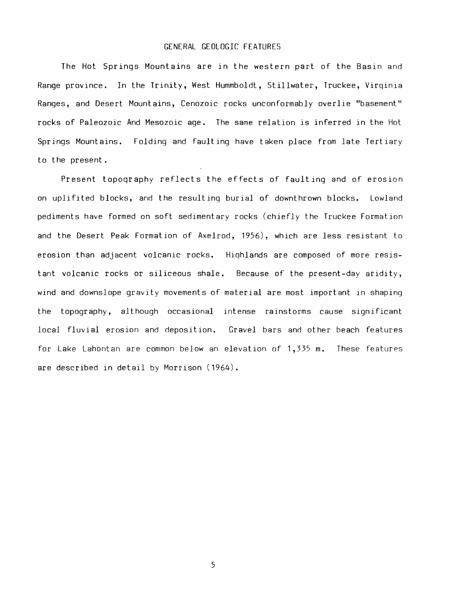## GENERAL GEOLOGIC FEATURES

The Hot Springs Mountains are in the western part of the Basin and Range province. In the Trinity, West Hummboldt, Stillwater, Truckee, Virqinia Ranges, and Desert Mount ains, Cenozoic rocks unconformably overlie "basement" rocks of Paleozoic And Mesozoic age. The same relation is inferred in the Hot Springs Mountains. Folding and faulting have taken place from late Tertiary to the present.

Present topoqraphy reflects the effects of faulting and of erosion on uplifited blocks, and the resulting burial of downthrown blocks. Lowland pediments have formed on soft sedimentary rocks (chiefly the Truckee Formation and the Desert Peak Formation of Axelrod, 1956), which are less resistant to erosion than adjacent volcanic rocks. Highlands are composed of more resistant volcanic rocks or siliceous shale. Because of the present-day aridity, wind and downslope gravity movements of material are most important in shaping the topography, although occasional intense rainstorms cause significant local fluvial erosion and deposition. Gravel bars and other beach features for Lake Lahontan are common below an elevation of 1,335 m. These features are described in detail by Morrison (1964).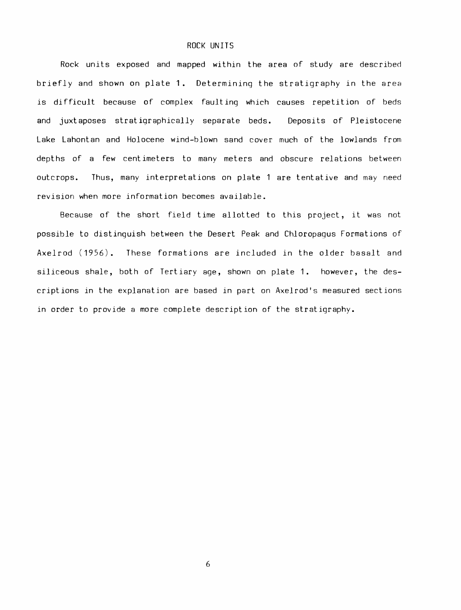#### ROCK UNITS

Rock units exposed and mapped within the area of study are described briefly and shown on plate **1.** Determining the stratigraphy in the area is difficult because of complex faulting which causes repetition of beds and juxtaposes stratigraphically separate beds. Deposits of Pleistocene Lake Lahontan and Holocene wind-blown sand cover much of the lowlands from depths of a few cent imeters to many meters and obscure relations between outcrops. Thus, many interpretations on plate 1 are tentative and may need revision when more information becomes available.

Because of the short field time allotted to this project, it was not possible to distinguish between the Desert Peak and Chloropagus Formations of Axelrod (1956). These formations are included in the older basalt and siliceous shale, both of Tert iary age, shown on plate 1. however, the descriptions in the explanation are based in part on Axelrod's measured sections in order to provide a more complete description of the stratigraphy.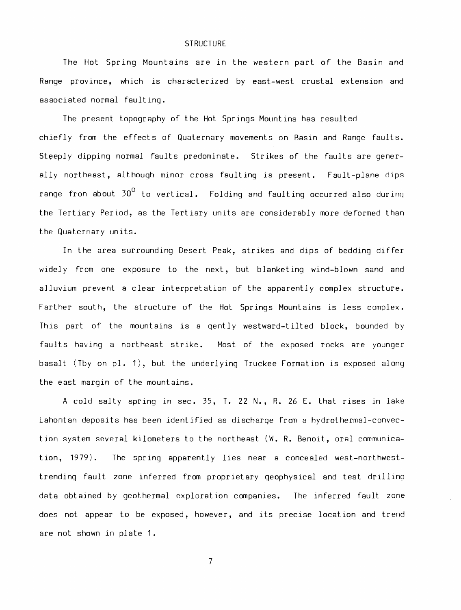## **STRUCTURE**

The Hot Spring Mountains are in the western part of the Basin and Range province, which is characterized by east-west crustal extension and associated normal faulting.

The present topography of the Hot Springs Mountins has resulted chiefly from the effects of Quaternary movements on Basin and Range faults. Steeply dipping normal faults predominate. Strikes of the faults are generally northeast, although minor cross faulting is present. Fault-plane dips range fron about  $30^0$  to vertical. Folding and faulting occurred also during the Tertiary Period, as the Tertiary units are considerably more deformed than the Quaternary units.

In the area surrounding Desert Peak, strikes and dips of bedding differ widely from one exposure to the next, but blanketing wind-blown sand and alluvium prevent a clear interpretation of the apparently complex structure. Farther south, the structure of the Hot Springs Mountains is less complex. This part of the mountains is a gently westward-tilted block, bounded by faults having a northeast strike. Most of the exposed rocks are younger basalt (Tby on pl. 1), but the underlying Truckee Formation is exposed along the east margin of the mountains.

A cold salty spring in sec. 35, T. 22 N., R. 26 E. that rises in lake Lahontan deposits has been identified as discharqe from a hydrothermal-convection system several kilometers to the northeast (W. R. Benoit, oral communication, 1979). The spring apparently lies near a concealed west-northwesttrending fault zone inferred from proprietary geophysical and test drilling data obtained by geothermal exploration companies. The inferred fault zone does not appear to be exposed, however, and its precise location and trend are not shown in plate 1.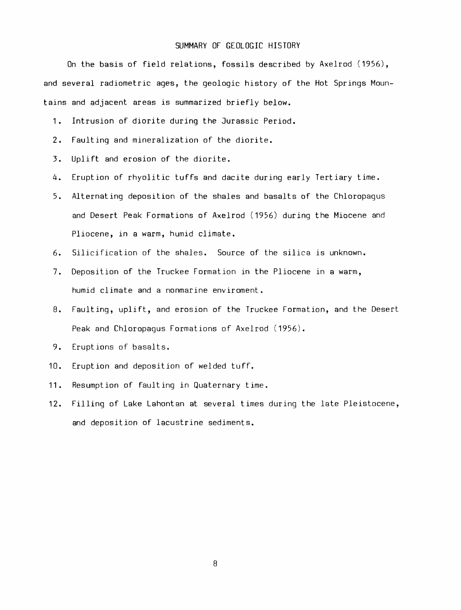## SUMMARY OF GEOLOGIC HISTORY

On the basis of field relations, fossils described by Axelrod (1956), and several radiometric ages, the geologic history of the Hot Springs Mountains and adjacent areas is summarized briefly below.

- 1. Intrusion of diorite during the Jurassic Period.
- 2. Faulting and mineralization of the diorite.
- 3. Uplift and erosion of the diorite.
- 4. Eruption of rhyolitic tuffs and dacite during early Tertiary time.
- 5. Alternating deposition of the shales and basalts of the Chloropagus and Desert Peak Formations of Axelrod (1956) during the Miocene and Pliocene, in a warm, humid climate.
- 6. Silicification of the shales. Source of the silica is unknown.
- 7. Deposition of the Truckee Formation in the Pliocene in a warm, humid climate and a nonmarine enviroment.
- 8. Faulting, uplift, and erosion of the Truckee Formation, and the Desert Peak and Chloropagus Formations of Axelrod (1956).
- 9. Eruptions of basalts.
- 10. Eruption and deposition of welded tuff.
- 11. Resumption of faulting in Quaternary time.
- 12. Filling of Lake Lahontan at several times during the late Pleistocene, and deposition of lacustrine sediments.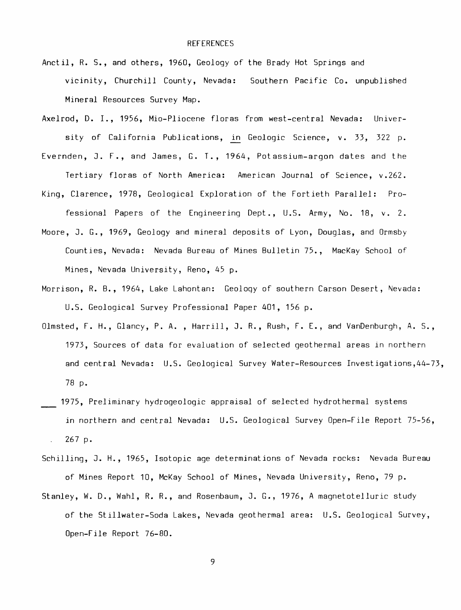- Anctil, R. S., and others, 1960, Geology of the Brady Hot Springs and vicinity, Churchill County, Nevada: Southern Pacific Co. unpublished Mineral Resources Survey Map.
- Axelrod, D. I., 1956, Mio-Pliocene floras from west-central Nevada: University of California Publications, in Geologic Science, v. 33, 322 p.
- Evernden, J. F., and James, G. T., 1964, Potassium-argon dates and the Tertiary floras of North America: American Journal of Science, v.262.
- King, Clarence, 1978, Geological Exploration of the Fortieth Parallel: Professional Papers of the Engineering Dept., U.S. Army, No. 18, v. 2.
- Moore, J. G., 1969, Geology and mineral deposits of Lyon, Douglas, and Ormsby Counties, Nevada: Nevada Bureau of Mines Bulletin 75., MacKay School of Mines, Nevada University, Reno, 45 p.
- Morrison, R. B., 1964, Lake Lahontan: Geoloqy of southern Carson Desert, Nevada: U.S. Geological Survey Professional Paper 401, 156 p.
- Olmsted, F. H., Glancy, P. A. , Harrill, J. R., Rush, F. E., and VanDenburgh, A. S., 1973, Sources of data for evaluation of selected geothermal areas in northern and central Nevada: U.S. Geological Survey Water-Resources Investigations,44-73, 78 p.
- 1975, Preliminary hydrogeologic appraisal of selected hydrothermal systems in northern and central Nevada: U.S. Geological Survey Open-File Report 75-56, 267 p.  $\sim$
- Schilling, J. H., 1965, Isotopic age determinations of Nevada rocks: Nevada Bureau of Mines Report 10, McKay School of Mines, Nevada University, Reno, 79 p.
- Stanley, W. D., Wahl, R. R., and Rosenbaum, J. G., 1976, A magnetotelluric study of the Stillwater-Soda Lakes, Nevada geothermal area: U.S. Geological Survey, Open-File Report 76-80.